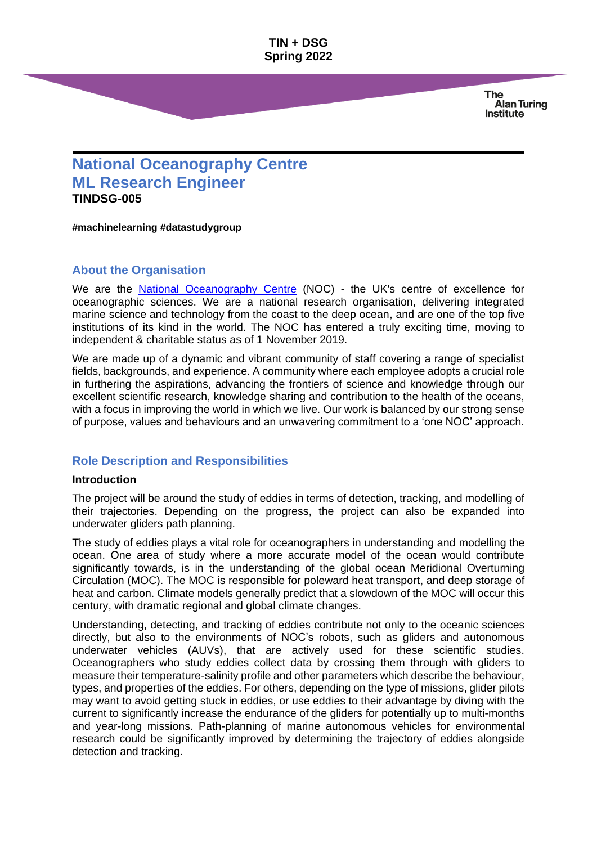> **The Alan Turing Institute**

# **National Oceanography Centre ML Research Engineer TINDSG-005**

**#machinelearning #datastudygroup**

## **About the Organisation**

We are the **[National Oceanography Centre](https://noc.ac.uk/)** (NOC) - the UK's centre of excellence for oceanographic sciences. We are a national research organisation, delivering integrated marine science and technology from the coast to the deep ocean, and are one of the top five institutions of its kind in the world. The NOC has entered a truly exciting time, moving to independent & charitable status as of 1 November 2019.

We are made up of a dynamic and vibrant community of staff covering a range of specialist fields, backgrounds, and experience. A community where each employee adopts a crucial role in furthering the aspirations, advancing the frontiers of science and knowledge through our excellent scientific research, knowledge sharing and contribution to the health of the oceans, with a focus in improving the world in which we live. Our work is balanced by our strong sense of purpose, values and behaviours and an unwavering commitment to a 'one NOC' approach.

## **Role Description and Responsibilities**

#### **Introduction**

The project will be around the study of eddies in terms of detection, tracking, and modelling of their trajectories. Depending on the progress, the project can also be expanded into underwater gliders path planning.

The study of eddies plays a vital role for oceanographers in understanding and modelling the ocean. One area of study where a more accurate model of the ocean would contribute significantly towards, is in the understanding of the global ocean Meridional Overturning Circulation (MOC). The MOC is responsible for poleward heat transport, and deep storage of heat and carbon. Climate models generally predict that a slowdown of the MOC will occur this century, with dramatic regional and global climate changes.

Understanding, detecting, and tracking of eddies contribute not only to the oceanic sciences directly, but also to the environments of NOC's robots, such as gliders and autonomous underwater vehicles (AUVs), that are actively used for these scientific studies. Oceanographers who study eddies collect data by crossing them through with gliders to measure their temperature-salinity profile and other parameters which describe the behaviour, types, and properties of the eddies. For others, depending on the type of missions, glider pilots may want to avoid getting stuck in eddies, or use eddies to their advantage by diving with the current to significantly increase the endurance of the gliders for potentially up to multi-months and year-long missions. Path-planning of marine autonomous vehicles for environmental research could be significantly improved by determining the trajectory of eddies alongside detection and tracking.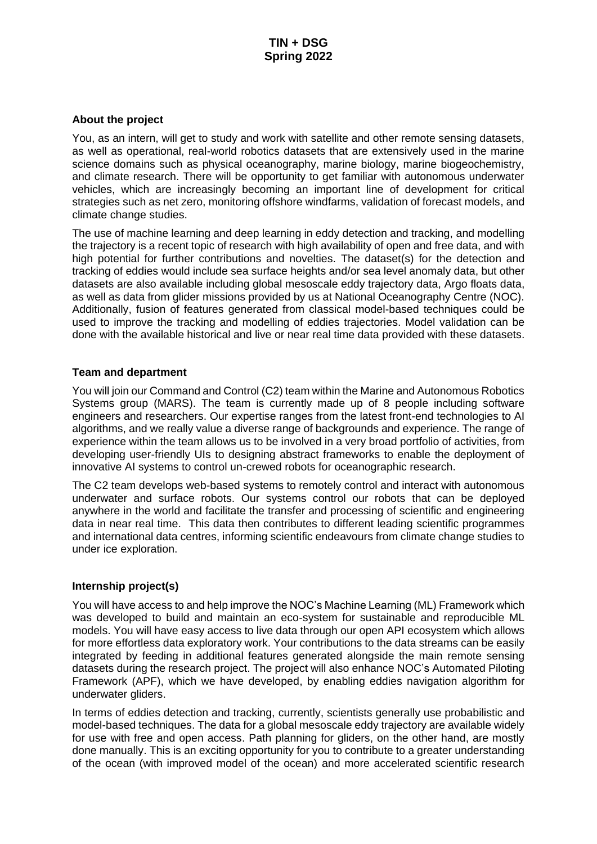#### **About the project**

You, as an intern, will get to study and work with satellite and other remote sensing datasets, as well as operational, real-world robotics datasets that are extensively used in the marine science domains such as physical oceanography, marine biology, marine biogeochemistry, and climate research. There will be opportunity to get familiar with autonomous underwater vehicles, which are increasingly becoming an important line of development for critical strategies such as net zero, monitoring offshore windfarms, validation of forecast models, and climate change studies.

The use of machine learning and deep learning in eddy detection and tracking, and modelling the trajectory is a recent topic of research with high availability of open and free data, and with high potential for further contributions and novelties. The dataset(s) for the detection and tracking of eddies would include sea surface heights and/or sea level anomaly data, but other datasets are also available including global mesoscale eddy trajectory data, Argo floats data, as well as data from glider missions provided by us at National Oceanography Centre (NOC). Additionally, fusion of features generated from classical model-based techniques could be used to improve the tracking and modelling of eddies trajectories. Model validation can be done with the available historical and live or near real time data provided with these datasets.

#### **Team and department**

You will join our Command and Control (C2) team within the Marine and Autonomous Robotics Systems group (MARS). The team is currently made up of 8 people including software engineers and researchers. Our expertise ranges from the latest front-end technologies to AI algorithms, and we really value a diverse range of backgrounds and experience. The range of experience within the team allows us to be involved in a very broad portfolio of activities, from developing user-friendly UIs to designing abstract frameworks to enable the deployment of innovative AI systems to control un-crewed robots for oceanographic research.

The C2 team develops web-based systems to remotely control and interact with autonomous underwater and surface robots. Our systems control our robots that can be deployed anywhere in the world and facilitate the transfer and processing of scientific and engineering data in near real time. This data then contributes to different leading scientific programmes and international data centres, informing scientific endeavours from climate change studies to under ice exploration.

#### **Internship project(s)**

You will have access to and help improve the NOC's Machine Learning (ML) Framework which was developed to build and maintain an eco-system for sustainable and reproducible ML models. You will have easy access to live data through our open API ecosystem which allows for more effortless data exploratory work. Your contributions to the data streams can be easily integrated by feeding in additional features generated alongside the main remote sensing datasets during the research project. The project will also enhance NOC's Automated Piloting Framework (APF), which we have developed, by enabling eddies navigation algorithm for underwater gliders.

In terms of eddies detection and tracking, currently, scientists generally use probabilistic and model-based techniques. The data for a global mesoscale eddy trajectory are available widely for use with free and open access. Path planning for gliders, on the other hand, are mostly done manually. This is an exciting opportunity for you to contribute to a greater understanding of the ocean (with improved model of the ocean) and more accelerated scientific research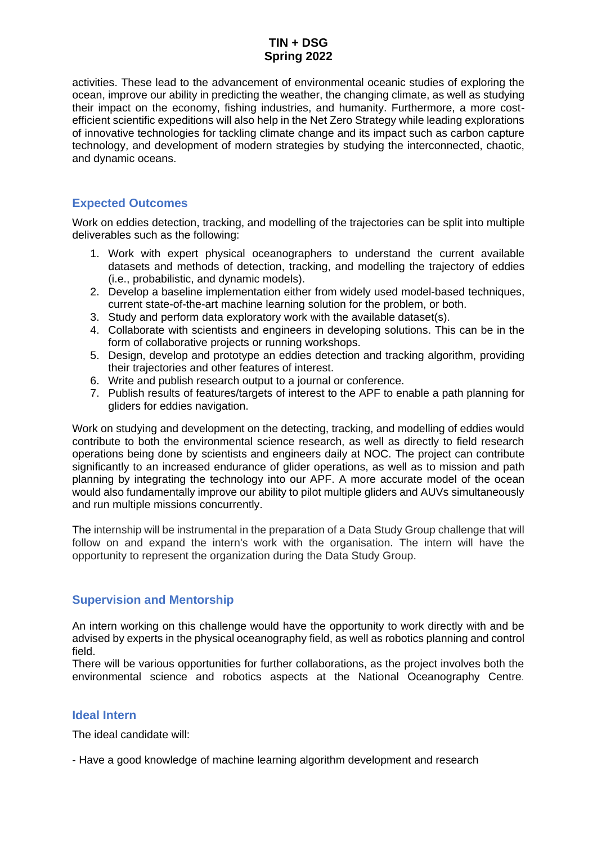activities. These lead to the advancement of environmental oceanic studies of exploring the ocean, improve our ability in predicting the weather, the changing climate, as well as studying their impact on the economy, fishing industries, and humanity. Furthermore, a more costefficient scientific expeditions will also help in the Net Zero Strategy while leading explorations of innovative technologies for tackling climate change and its impact such as carbon capture technology, and development of modern strategies by studying the interconnected, chaotic, and dynamic oceans.

## **Expected Outcomes**

Work on eddies detection, tracking, and modelling of the trajectories can be split into multiple deliverables such as the following:

- 1. Work with expert physical oceanographers to understand the current available datasets and methods of detection, tracking, and modelling the trajectory of eddies (i.e., probabilistic, and dynamic models).
- 2. Develop a baseline implementation either from widely used model-based techniques, current state-of-the-art machine learning solution for the problem, or both.
- 3. Study and perform data exploratory work with the available dataset(s).
- 4. Collaborate with scientists and engineers in developing solutions. This can be in the form of collaborative projects or running workshops.
- 5. Design, develop and prototype an eddies detection and tracking algorithm, providing their trajectories and other features of interest.
- 6. Write and publish research output to a journal or conference.
- 7. Publish results of features/targets of interest to the APF to enable a path planning for gliders for eddies navigation.

Work on studying and development on the detecting, tracking, and modelling of eddies would contribute to both the environmental science research, as well as directly to field research operations being done by scientists and engineers daily at NOC. The project can contribute significantly to an increased endurance of glider operations, as well as to mission and path planning by integrating the technology into our APF. A more accurate model of the ocean would also fundamentally improve our ability to pilot multiple gliders and AUVs simultaneously and run multiple missions concurrently.

The internship will be instrumental in the preparation of a Data Study Group challenge that will follow on and expand the intern's work with the organisation. The intern will have the opportunity to represent the organization during the Data Study Group.

## **Supervision and Mentorship**

An intern working on this challenge would have the opportunity to work directly with and be advised by experts in the physical oceanography field, as well as robotics planning and control field.

There will be various opportunities for further collaborations, as the project involves both the environmental science and robotics aspects at the National Oceanography Centre*.*

## **Ideal Intern**

The ideal candidate will:

- Have a good knowledge of machine learning algorithm development and research